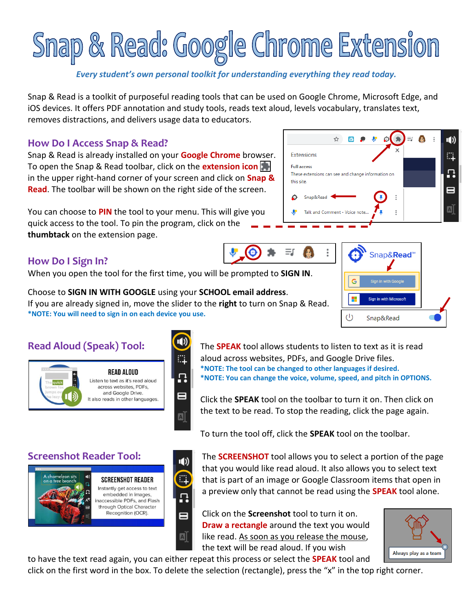# Snap & Read: Google Chrome Extension

### *Every student's own personal toolkit for understanding everything they read today.*

Snap & Read is a toolkit of purposeful reading tools that can be used on Google Chrome, Microsoft Edge, and iOS devices. It offers PDF annotation and study tools, reads text aloud, levels vocabulary, translates text, removes distractions, and delivers usage data to educators.

### **How Do I Access Snap & Read?**

Snap & Read is already installed on your **Google Chrome** browser. To open the Snap & Read toolbar, click on the **extension icon** in the upper right-hand corner of your screen and click on **Snap & Read**. The toolbar will be shown on the right side of the screen.

You can choose to **PIN** the tool to your menu. This will give you quick access to the tool. To pin the program, click on the **thumbtack** on the extension page.

# **How Do I Sign In?**

When you open the tool for the first time, you will be prompted to **SIGN IN**.

Choose to **SIGN IN WITH GOOGLE** using your **SCHOOL email address**. If you are already signed in, move the slider to the **right** to turn on Snap & Read. **\*NOTE: You will need to sign in on each device you use.** 

Π

8

 $\boxed{A}$ 



**READ ALOUD** Listen to text as it's read aloud across websites, PDFs, and Google Drive. It also reads in other languages.

> embedded in images. naccessible PDFs, and Flash through Optical Character Recognition (OCR).

**Read Aloud (Speak) Tool:** The **SPEAK** tool allows students to listen to text as it is read aloud across websites, PDFs, and Google Drive files. **\*NOTE: The tool can be changed to other languages if desired. \*NOTE: You can change the voice, volume, speed, and pitch in OPTIONS.**

> Click the **SPEAK** tool on the toolbar to turn it on. Then click on the text to be read. To stop the reading, click the page again.

To turn the tool off, click the **SPEAK** tool on the toolbar.

**Screenshot Reader Tool: The SCREENSHOT** tool allows you to select a portion of the page that you would like read aloud. It also allows you to select text that is part of an image or Google Classroom items that open in a preview only that cannot be read using the **SPEAK** tool alone.

> Click on the **Screenshot** tool to turn it on. **Draw a rectangle** around the text you would like read. As soon as you release the mouse, the text will be read aloud. If you wish



to have the text read again, you can either repeat this process or select the **SPEAK** tool and click on the first word in the box. To delete the selection (rectangle), press the "x" in the top right corner.







8

aī





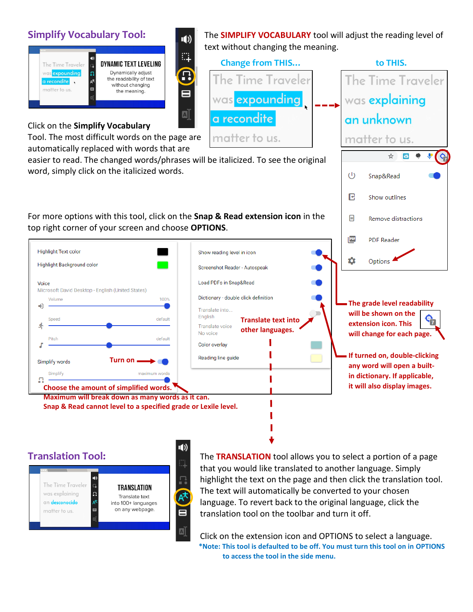

### Click on the **Simplify Vocabulary**

Tool. The most difficult words on the page are automatically replaced with words that are

easier to read. The changed words/phrases will be italicized. To see the original word, simply click on the italicized words.

₩,

回

For more options with this tool, click on the **Snap & Read extension icon** in the top right corner of your screen and choose **OPTIONS**.



**Maximum will break down as many words as it can. Snap & Read cannot level to a specified grade or Lexile level.** 

**Simplify Vocabulary Tool: The SIMPLIFY VOCABULARY** tool will adjust the reading level of text without changing the meaning.  **Change from THIS… to THIS.** The Time Traveler



**If turned on, double-clicking any word will open a builtin dictionary. If applicable, it will also display images.** 

The Time Traveler was explaining  $\Omega$ an desconocido matter to us.

TRANSLATION Translate text into 100+ languages on any webpage.

Ω

8

ี่ ⊡

**Translation Tool:** The **TRANSLATION** tool allows you to select a portion of a page that you would like translated to another language. Simply highlight the text on the page and then click the translation tool. The text will automatically be converted to your chosen language. To revert back to the original language, click the translation tool on the toolbar and turn it off.

**Translate text into other languages.**

was expounding

a recondite

matter to us.

Show reading level in icon

Load PDFs in Snap&Read

Translate into.. English

Translate voice No voice

Color overlay Reading line guide

Screenshot Reader - Autospeak

Dictionary - double click definition

Click on the extension icon and OPTIONS to select a language. **\*Note: This tool is defaulted to be off. You must turn this tool on in OPTIONS to access the tool in the side menu.**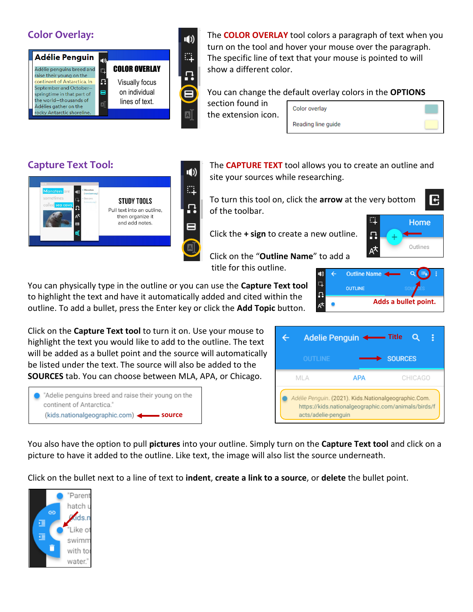

**Color Overlay: The COLOR OVERLAY** tool colors a paragraph of text when you turn on the tool and hover your mouse over the paragraph. The specific line of text that your mouse is pointed to will show a different color.

You can change the default overlay colors in the **OPTIONS**

section found in the extension icon.

Color overlav Reading line guide





**Capture Text Tool: The CAPTURE TEXT** tool allows you to create an outline and **CAPTURE TEXT** tool allows you to create an outline and site your sources while researching.

> To turn this tool on, click the **arrow** at the very bottom of the toolbar.

Click the **+ sign** to create a new outline.



E

 Click on the "**Outline Name**" to add a title for this outline.  $\epsilon$ 

You can physically type in the outline or you can use the **Capture Text tool** to highlight the text and have it automatically added and cited within the outline. To add a bullet, press the Enter key or click the **Add Topic** button.

Click on the **Capture Text tool** to turn it on. Use your mouse to highlight the text you would like to add to the outline. The text will be added as a bullet point and the source will automatically be listed under the text. The source will also be added to the **SOURCES** tab. You can choose between MLA, APA, or Chicago.



|                                                                                                                                    |                | Adelie Penguin <- Title |                |         |  |  |  |
|------------------------------------------------------------------------------------------------------------------------------------|----------------|-------------------------|----------------|---------|--|--|--|
|                                                                                                                                    | <b>OUTLINE</b> |                         | <b>SOURCES</b> |         |  |  |  |
| ML A                                                                                                                               |                | <b>APA</b>              |                | CHICAGO |  |  |  |
| Adélie Penguin. (2021). Kids.Nationalgeographic.Com.<br>https://kids.nationalgeographic.com/animals/birds/f<br>acts/adelie-penquin |                |                         |                |         |  |  |  |

You also have the option to pull **pictures** into your outline. Simply turn on the **Capture Text tool** and click on a picture to have it added to the outline. Like text, the image will also list the source underneath.

Click on the bullet next to a line of text to **indent**, **create a link to a source**, or **delete** the bullet point.



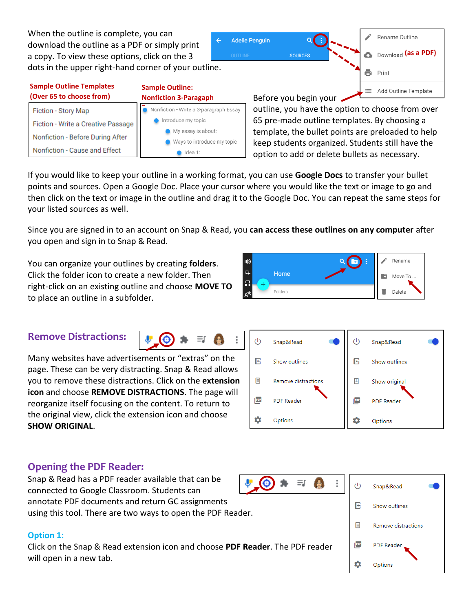When the outline is complete, you can download the outline as a PDF or simply print a copy. To view these options, click on the 3 dots in the upper right-hand corner of your outline.

### **Sample Outline Templates (Over 6**

| Over 65 to choose from)            | <b>Nonfiction 3-Paragaph</b>                     |  |  |  |
|------------------------------------|--------------------------------------------------|--|--|--|
| Fiction - Story Map                | Nonfiction - Write a 3-paragraph Essay           |  |  |  |
| Fiction - Write a Creative Passage | Introduce my topic                               |  |  |  |
| Nonfiction - Before During After   | My essay is about:<br>Ways to introduce my topic |  |  |  |
| Nonfiction - Cause and Effect      | Idea 1:                                          |  |  |  |

**Sample Outline:** 

Before you begin your outline, you have the option to choose from over 65 pre-made outline templates. By choosing a template, the bullet points are preloaded to help keep students organized. Students still have the option to add or delete bullets as necessary.

If you would like to keep your outline in a working format, you can use **Google Docs** to transfer your bullet points and sources. Open a Google Doc. Place your cursor where you would like the text or image to go and then click on the text or image in the outline and drag it to the Google Doc. You can repeat the same steps for your listed sources as well.

Since you are signed in to an account on Snap & Read, you **can access these outlines on any computer** after you open and sign in to Snap & Read.

You can organize your outlines by creating **folders**. Click the folder icon to create a new folder. Then right-click on an existing outline and choose **MOVE TO** to place an outline in a subfolder.

# **Remove Distractions:**

Many websites have advertisements or "extras" on the page. These can be very distracting. Snap & Read allows you to remove these distractions. Click on the **extension icon** and choose **REMOVE DISTRACTIONS**. The page will reorganize itself focusing on the content. To return to the original view, click the extension icon and choose **SHOW ORIGINAL**.

 $\bullet$ 

Ξſ



Ξſ

# **Opening the PDF Reader:**

Snap & Read has a PDF reader available that can be connected to Google Classroom. Students can annotate PDF documents and return GC assignments using this tool. There are two ways to open the PDF Reader.

### **Option 1:**

Click on the Snap & Read extension icon and choose **PDF Reader**. The PDF reader will open in a new tab.





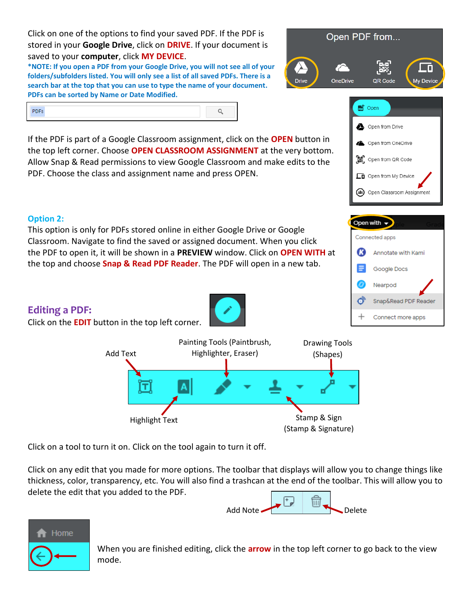Click on one of the options to find your saved PDF. If the PDF is stored in your **Google Drive**, click on **DRIVE**. If your document is saved to your **computer**, click **MY DEVICE**.

**\*NOTE: If you open a PDF from your Google Drive, you will not see all of your folders/subfolders listed. You will only see a list of all saved PDFs. There is a search bar at the top that you can use to type the name of your document. PDFs can be sorted by Name or Date Modified.** 



<sub>pot</sub> Open

Open from Drive

If the PDF is part of a Google Classroom assignment, click on the **OPEN** button in Open from OneDrive the top left corner. Choose **OPEN CLASSROOM ASSIGNMENT** at the very bottom. Open from QR Code Allow Snap & Read permissions to view Google Classroom and make edits to the PDF. Choose the class and assignment name and press OPEN. **CD** Open from My Device Open Classroom Assignment Open with  $\rightarrow$ Connected apps Œ3 Annotate with Kami Google Docs Nearpod Ő Snap&Read PDF Reader Connect more apps Painting Tools (Paintbrush, Drawing Tools Highlighter, Eraser) Add Text (Shapes)

Click on a tool to turn it on. Click on the tool again to turn it off.

Click on any edit that you made for more options. The toolbar that displays will allow you to change things like thickness, color, transparency, etc. You will also find a trashcan at the end of the toolbar. This will allow you to delete the edit that you added to the PDF.





When you are finished editing, click the **arrow** in the top left corner to go back to the view mode.

### **Option 2:**

This option is only for PDFs stored online in either Google Drive or Google Classroom. Navigate to find the saved or assigned document. When you click the PDF to open it, it will be shown in a **PREVIEW** window. Click on **OPEN WITH** at the top and choose **Snap & Read PDF Reader**. The PDF will open in a new tab.

**Editing a PDF:** 

Click on the **EDIT** button in the top left corner.